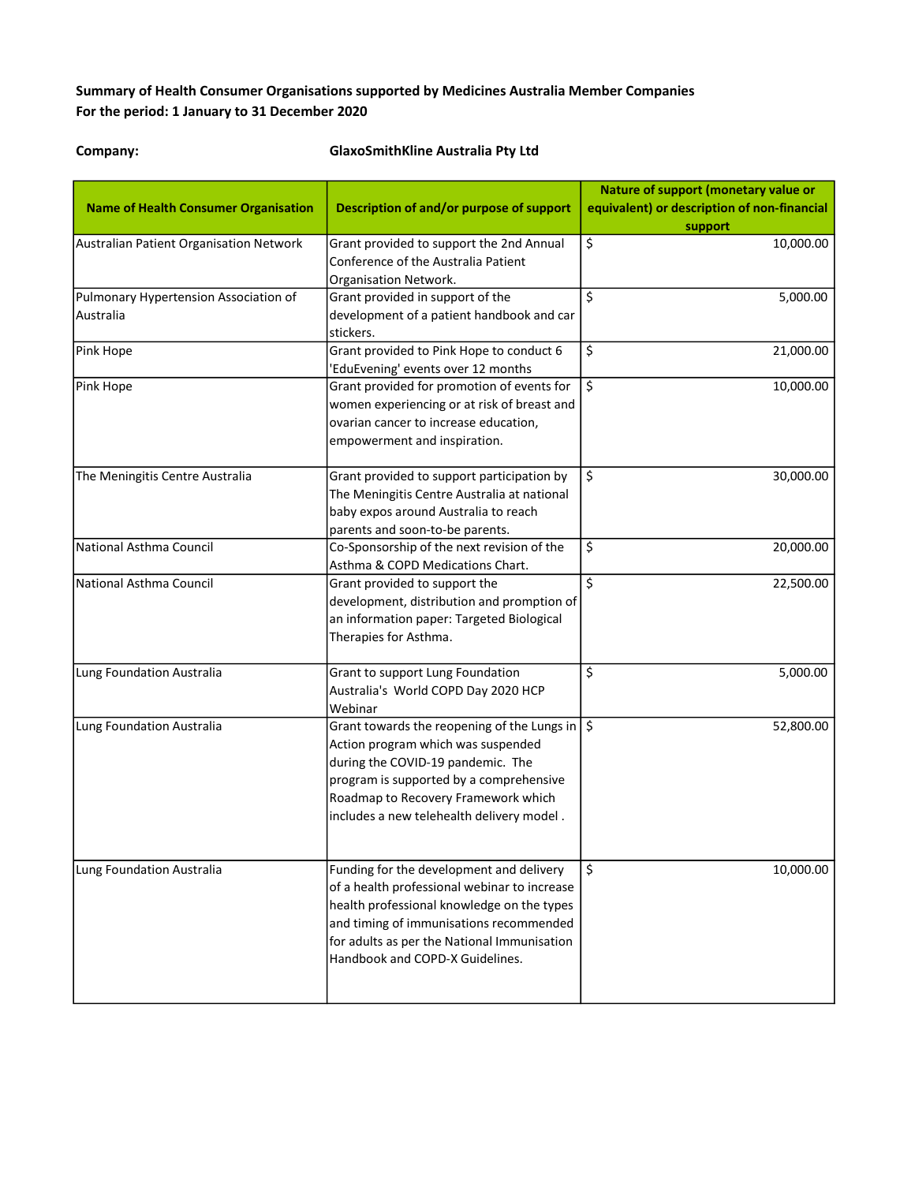## Summary of Health Consumer Organisations supported by Medicines Australia Member Companies For the period: 1 January to 31 December 2020

## Company: GlaxoSmithKline Australia Pty Ltd

|                                             |                                                           | Nature of support (monetary value or        |  |
|---------------------------------------------|-----------------------------------------------------------|---------------------------------------------|--|
| <b>Name of Health Consumer Organisation</b> | Description of and/or purpose of support                  | equivalent) or description of non-financial |  |
| Australian Patient Organisation Network     | Grant provided to support the 2nd Annual                  | support<br>\$<br>10,000.00                  |  |
|                                             | Conference of the Australia Patient                       |                                             |  |
|                                             | Organisation Network.                                     |                                             |  |
| Pulmonary Hypertension Association of       | Grant provided in support of the                          | \$<br>5,000.00                              |  |
| Australia                                   | development of a patient handbook and car                 |                                             |  |
|                                             | stickers.                                                 |                                             |  |
| Pink Hope                                   | Grant provided to Pink Hope to conduct 6                  | \$<br>21,000.00                             |  |
|                                             | 'EduEvening' events over 12 months                        |                                             |  |
| Pink Hope                                   | Grant provided for promotion of events for                | \$<br>10,000.00                             |  |
|                                             | women experiencing or at risk of breast and               |                                             |  |
|                                             | ovarian cancer to increase education,                     |                                             |  |
|                                             | empowerment and inspiration.                              |                                             |  |
|                                             |                                                           |                                             |  |
| The Meningitis Centre Australia             | Grant provided to support participation by                | \$<br>30,000.00                             |  |
|                                             | The Meningitis Centre Australia at national               |                                             |  |
|                                             | baby expos around Australia to reach                      |                                             |  |
|                                             | parents and soon-to-be parents.                           |                                             |  |
| National Asthma Council                     | Co-Sponsorship of the next revision of the                | \$<br>20,000.00                             |  |
|                                             | Asthma & COPD Medications Chart.                          |                                             |  |
| National Asthma Council                     | Grant provided to support the                             | \$<br>22,500.00                             |  |
|                                             | development, distribution and promption of                |                                             |  |
|                                             | an information paper: Targeted Biological                 |                                             |  |
|                                             | Therapies for Asthma.                                     |                                             |  |
|                                             |                                                           |                                             |  |
| Lung Foundation Australia                   | Grant to support Lung Foundation                          | \$<br>5,000.00                              |  |
|                                             | Australia's World COPD Day 2020 HCP                       |                                             |  |
|                                             | Webinar                                                   |                                             |  |
| Lung Foundation Australia                   | Grant towards the reopening of the Lungs in $\frac{1}{5}$ | 52,800.00                                   |  |
|                                             | Action program which was suspended                        |                                             |  |
|                                             | during the COVID-19 pandemic. The                         |                                             |  |
|                                             | program is supported by a comprehensive                   |                                             |  |
|                                             | Roadmap to Recovery Framework which                       |                                             |  |
|                                             | includes a new telehealth delivery model.                 |                                             |  |
|                                             |                                                           |                                             |  |
|                                             |                                                           |                                             |  |
| Lung Foundation Australia                   | Funding for the development and delivery                  | \$<br>10,000.00                             |  |
|                                             | of a health professional webinar to increase              |                                             |  |
|                                             | health professional knowledge on the types                |                                             |  |
|                                             | and timing of immunisations recommended                   |                                             |  |
|                                             | for adults as per the National Immunisation               |                                             |  |
|                                             | Handbook and COPD-X Guidelines.                           |                                             |  |
|                                             |                                                           |                                             |  |
|                                             |                                                           |                                             |  |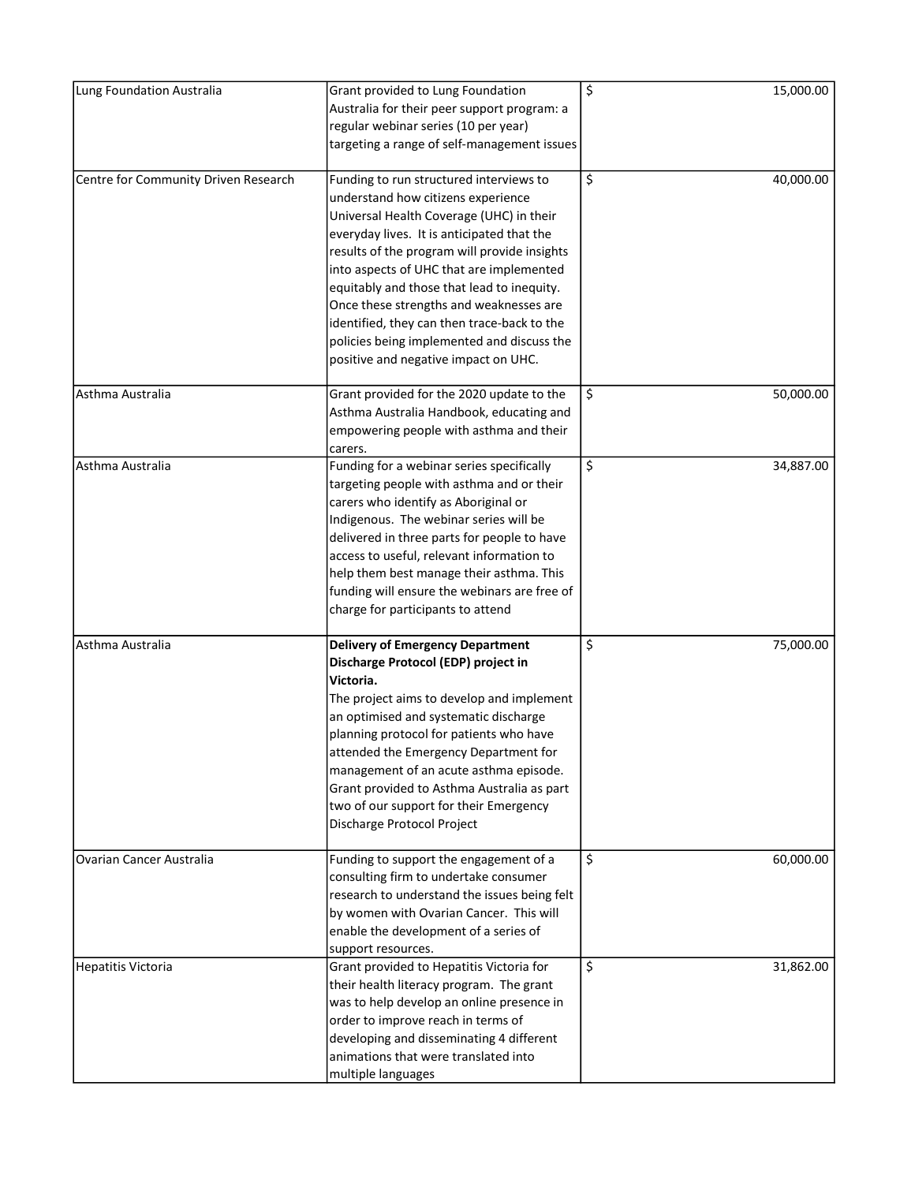| Lung Foundation Australia            | Grant provided to Lung Foundation            | \$<br>15,000.00 |
|--------------------------------------|----------------------------------------------|-----------------|
|                                      | Australia for their peer support program: a  |                 |
|                                      | regular webinar series (10 per year)         |                 |
|                                      | targeting a range of self-management issues  |                 |
|                                      |                                              | \$              |
| Centre for Community Driven Research | Funding to run structured interviews to      | 40,000.00       |
|                                      | understand how citizens experience           |                 |
|                                      | Universal Health Coverage (UHC) in their     |                 |
|                                      | everyday lives. It is anticipated that the   |                 |
|                                      | results of the program will provide insights |                 |
|                                      | into aspects of UHC that are implemented     |                 |
|                                      | equitably and those that lead to inequity.   |                 |
|                                      | Once these strengths and weaknesses are      |                 |
|                                      | identified, they can then trace-back to the  |                 |
|                                      | policies being implemented and discuss the   |                 |
|                                      | positive and negative impact on UHC.         |                 |
|                                      |                                              |                 |
| Asthma Australia                     | Grant provided for the 2020 update to the    | \$<br>50,000.00 |
|                                      | Asthma Australia Handbook, educating and     |                 |
|                                      | empowering people with asthma and their      |                 |
|                                      | carers.                                      |                 |
| Asthma Australia                     | Funding for a webinar series specifically    | \$<br>34,887.00 |
|                                      | targeting people with asthma and or their    |                 |
|                                      | carers who identify as Aboriginal or         |                 |
|                                      | Indigenous. The webinar series will be       |                 |
|                                      | delivered in three parts for people to have  |                 |
|                                      | access to useful, relevant information to    |                 |
|                                      | help them best manage their asthma. This     |                 |
|                                      | funding will ensure the webinars are free of |                 |
|                                      | charge for participants to attend            |                 |
|                                      |                                              |                 |
| Asthma Australia                     | <b>Delivery of Emergency Department</b>      | \$<br>75,000.00 |
|                                      | Discharge Protocol (EDP) project in          |                 |
|                                      | Victoria.                                    |                 |
|                                      | The project aims to develop and implement    |                 |
|                                      | an optimised and systematic discharge        |                 |
|                                      | planning protocol for patients who have      |                 |
|                                      | attended the Emergency Department for        |                 |
|                                      | management of an acute asthma episode.       |                 |
|                                      | Grant provided to Asthma Australia as part   |                 |
|                                      | two of our support for their Emergency       |                 |
|                                      | Discharge Protocol Project                   |                 |
|                                      |                                              |                 |
| Ovarian Cancer Australia             | Funding to support the engagement of a       | \$<br>60,000.00 |
|                                      | consulting firm to undertake consumer        |                 |
|                                      | research to understand the issues being felt |                 |
|                                      | by women with Ovarian Cancer. This will      |                 |
|                                      | enable the development of a series of        |                 |
|                                      | support resources.                           |                 |
| Hepatitis Victoria                   | Grant provided to Hepatitis Victoria for     | \$<br>31,862.00 |
|                                      | their health literacy program. The grant     |                 |
|                                      | was to help develop an online presence in    |                 |
|                                      | order to improve reach in terms of           |                 |
|                                      | developing and disseminating 4 different     |                 |
|                                      | animations that were translated into         |                 |
|                                      | multiple languages                           |                 |
|                                      |                                              |                 |